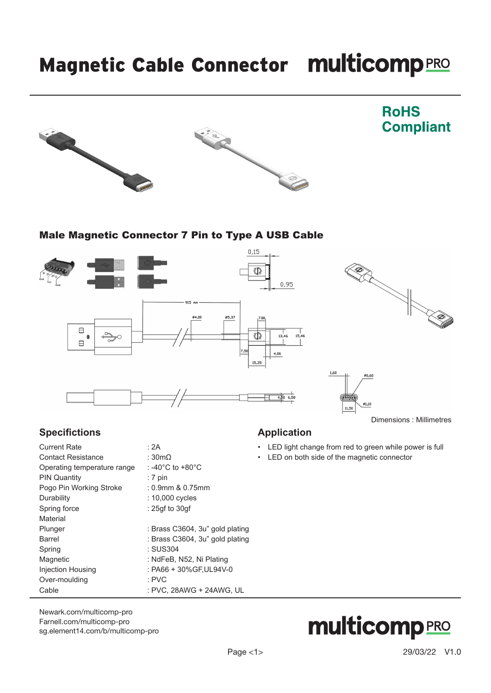# Magnetic Cable Connector multicomp PRO





### **RoHS Compliant**

### Male Magnetic Connector 7 Pin to Type A USB Cable



### **Specifictions**

| <b>Current Rate</b>         | : 2A                            |
|-----------------------------|---------------------------------|
| <b>Contact Resistance</b>   | : 30 $m\Omega$                  |
| Operating temperature range | : -40°C to +80°C                |
| <b>PIN Quantity</b>         | $: 7 \text{ pin}$               |
| Pogo Pin Working Stroke     | $: 0.9$ mm & $0.75$ mm          |
| Durability                  | : 10,000 cycles                 |
| Spring force                | : 25qf to 30qf                  |
| Material                    |                                 |
| Plunger                     | : Brass C3604, 3u" gold plating |
| Barrel                      | : Brass C3604, 3u" gold plating |
| Spring                      | : SUS304                        |
| Magnetic                    | : NdFeB, N52, Ni Plating        |
| Injection Housing           | : PA66 + 30%GF, UL94V-0         |
| Over-moulding               | $:$ PVC                         |
| Cable                       | : PVC, 28AWG + 24AWG, UL        |
|                             |                                 |

#### [Newark.com/multicomp-](https://www.newark.com/multicomp-pro)pro [Farnell.com/multicomp](https://www.farnell.com/multicomp-pro)-pro [sg.element14.com/b/multicomp-pro](https://sg.element14.com/b/multicomp-pro)

### **Application**

- LED light change from red to green while power is full
- LED on both side of the magnetic connector

# **multicomp PRO**